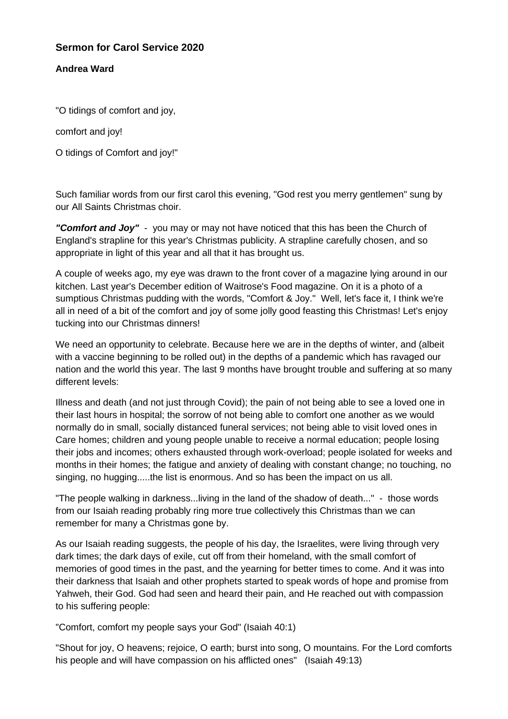## **Sermon for Carol Service 2020**

## **Andrea Ward**

"O tidings of comfort and joy,

comfort and joy!

O tidings of Comfort and joy!"

Such familiar words from our first carol this evening, "God rest you merry gentlemen" sung by our All Saints Christmas choir.

*"Comfort and Joy"* - you may or may not have noticed that this has been the Church of England's strapline for this year's Christmas publicity. A strapline carefully chosen, and so appropriate in light of this year and all that it has brought us.

A couple of weeks ago, my eye was drawn to the front cover of a magazine lying around in our kitchen. Last year's December edition of Waitrose's Food magazine. On it is a photo of a sumptious Christmas pudding with the words, "Comfort & Joy." Well, let's face it, I think we're all in need of a bit of the comfort and joy of some jolly good feasting this Christmas! Let's enjoy tucking into our Christmas dinners!

We need an opportunity to celebrate. Because here we are in the depths of winter, and (albeit with a vaccine beginning to be rolled out) in the depths of a pandemic which has ravaged our nation and the world this year. The last 9 months have brought trouble and suffering at so many different levels:

Illness and death (and not just through Covid); the pain of not being able to see a loved one in their last hours in hospital; the sorrow of not being able to comfort one another as we would normally do in small, socially distanced funeral services; not being able to visit loved ones in Care homes; children and young people unable to receive a normal education; people losing their jobs and incomes; others exhausted through work-overload; people isolated for weeks and months in their homes; the fatigue and anxiety of dealing with constant change; no touching, no singing, no hugging.....the list is enormous. And so has been the impact on us all.

"The people walking in darkness...living in the land of the shadow of death..." - those words from our Isaiah reading probably ring more true collectively this Christmas than we can remember for many a Christmas gone by.

As our Isaiah reading suggests, the people of his day, the Israelites, were living through very dark times; the dark days of exile, cut off from their homeland, with the small comfort of memories of good times in the past, and the yearning for better times to come. And it was into their darkness that Isaiah and other prophets started to speak words of hope and promise from Yahweh, their God. God had seen and heard their pain, and He reached out with compassion to his suffering people:

"Comfort, comfort my people says your God" (Isaiah 40:1)

"Shout for joy, O heavens; rejoice, O earth; burst into song, O mountains. For the Lord comforts his people and will have compassion on his afflicted ones" (Isaiah 49:13)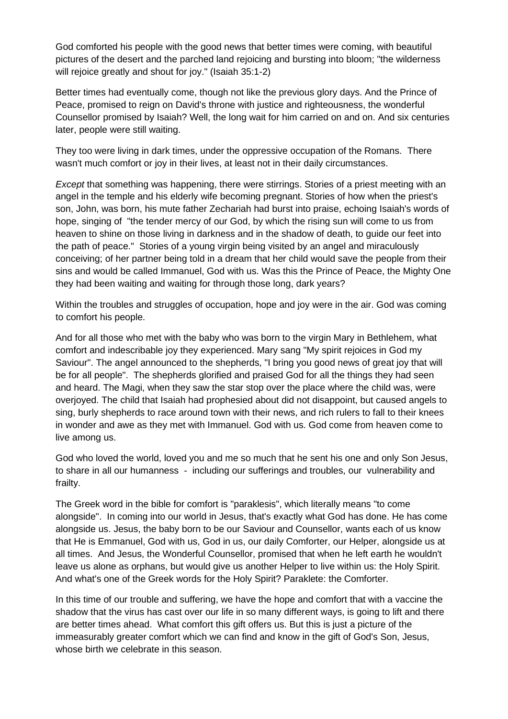God comforted his people with the good news that better times were coming, with beautiful pictures of the desert and the parched land rejoicing and bursting into bloom; "the wilderness will rejoice greatly and shout for joy." (Isaiah 35:1-2)

Better times had eventually come, though not like the previous glory days. And the Prince of Peace, promised to reign on David's throne with justice and righteousness, the wonderful Counsellor promised by Isaiah? Well, the long wait for him carried on and on. And six centuries later, people were still waiting.

They too were living in dark times, under the oppressive occupation of the Romans. There wasn't much comfort or joy in their lives, at least not in their daily circumstances.

*Except* that something was happening, there were stirrings. Stories of a priest meeting with an angel in the temple and his elderly wife becoming pregnant. Stories of how when the priest's son, John, was born, his mute father Zechariah had burst into praise, echoing Isaiah's words of hope, singing of "the tender mercy of our God, by which the rising sun will come to us from heaven to shine on those living in darkness and in the shadow of death, to guide our feet into the path of peace." Stories of a young virgin being visited by an angel and miraculously conceiving; of her partner being told in a dream that her child would save the people from their sins and would be called Immanuel, God with us. Was this the Prince of Peace, the Mighty One they had been waiting and waiting for through those long, dark years?

Within the troubles and struggles of occupation, hope and joy were in the air. God was coming to comfort his people.

And for all those who met with the baby who was born to the virgin Mary in Bethlehem, what comfort and indescribable joy they experienced. Mary sang "My spirit rejoices in God my Saviour". The angel announced to the shepherds, "I bring you good news of great joy that will be for all people". The shepherds glorified and praised God for all the things they had seen and heard. The Magi, when they saw the star stop over the place where the child was, were overjoyed. The child that Isaiah had prophesied about did not disappoint, but caused angels to sing, burly shepherds to race around town with their news, and rich rulers to fall to their knees in wonder and awe as they met with Immanuel. God with us. God come from heaven come to live among us.

God who loved the world, loved you and me so much that he sent his one and only Son Jesus, to share in all our humanness - including our sufferings and troubles, our vulnerability and frailty.

The Greek word in the bible for comfort is "paraklesis", which literally means "to come alongside". In coming into our world in Jesus, that's exactly what God has done. He has come alongside us. Jesus, the baby born to be our Saviour and Counsellor, wants each of us know that He is Emmanuel, God with us, God in us, our daily Comforter, our Helper, alongside us at all times. And Jesus, the Wonderful Counsellor, promised that when he left earth he wouldn't leave us alone as orphans, but would give us another Helper to live within us: the Holy Spirit. And what's one of the Greek words for the Holy Spirit? Paraklete: the Comforter.

In this time of our trouble and suffering, we have the hope and comfort that with a vaccine the shadow that the virus has cast over our life in so many different ways, is going to lift and there are better times ahead. What comfort this gift offers us. But this is just a picture of the immeasurably greater comfort which we can find and know in the gift of God's Son, Jesus, whose birth we celebrate in this season.